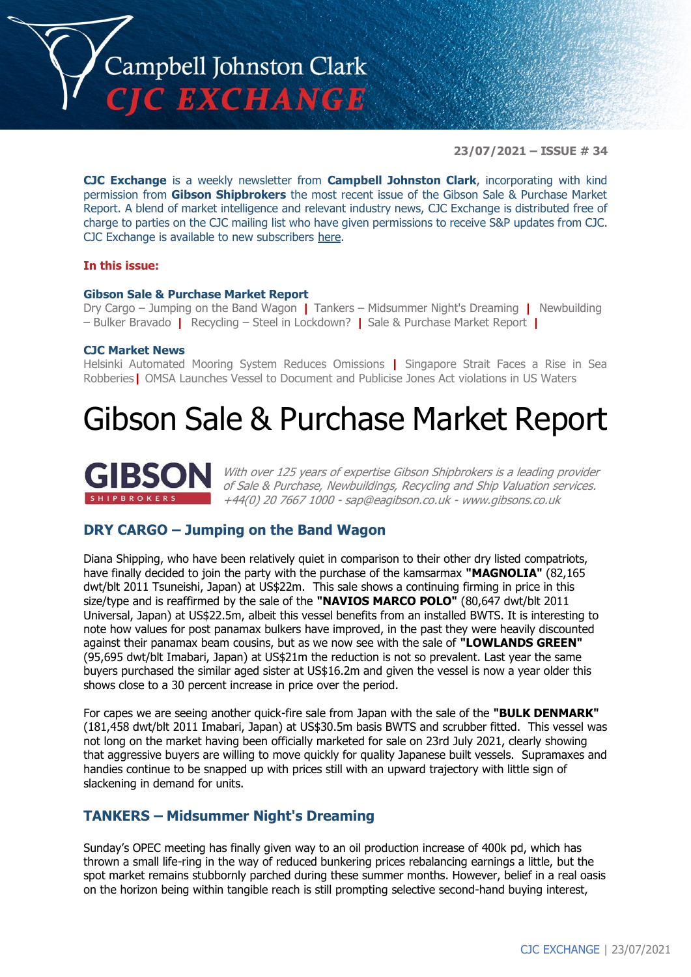

**23/07/2021 – ISSUE # 34**

**CJC Exchange** is a weekly newsletter from **Campbell Johnston Clark**, incorporating with kind permission from **Gibson Shipbrokers** the most recent issue of the Gibson Sale & Purchase Market Report. A blend of market intelligence and relevant industry news, CJC Exchange is distributed free of charge to parties on the CJC mailing list who have given permissions to receive S&P updates from CJC. CJC Exchange is available to new subscribers [here.](mailto:jamesc@cjclaw.com?subject=CJC%20Exchange%20sign-up)

#### **In this issue:**

#### **Gibson Sale & Purchase Market Report**

Dry Cargo – Jumping on the Band Wagon **|** Tankers – Midsummer Night's Dreaming **|** Newbuilding – Bulker Bravado **|** Recycling – Steel in Lockdown? **|** Sale & Purchase Market Report **|**

#### **CJC Market News**

Helsinki Automated Mooring System Reduces Omissions **|** Singapore Strait Faces a Rise in Sea Robberies**|** OMSA Launches Vessel to Document and Publicise Jones Act violations in US Waters

## Gibson Sale & Purchase Market Report



With over 125 years of expertise Gibson Shipbrokers is a leading provider of Sale & Purchase, Newbuildings, Recycling and Ship Valuation services. +44(0) 20 7667 1000 - [sap@eagibson.co.uk](mailto:sap@eagibson.co.uk) - [www.gibsons.co.uk](https://protect-eu.mimecast.com/s/VO6nCGZzRS60KqcK1jQh/)

#### **DRY CARGO – Jumping on the Band Wagon**

Diana Shipping, who have been relatively quiet in comparison to their other dry listed compatriots, have finally decided to join the party with the purchase of the kamsarmax **"MAGNOLIA"** (82,165 dwt/blt 2011 Tsuneishi, Japan) at US\$22m. This sale shows a continuing firming in price in this size/type and is reaffirmed by the sale of the **"NAVIOS MARCO POLO"** (80,647 dwt/blt 2011 Universal, Japan) at US\$22.5m, albeit this vessel benefits from an installed BWTS. It is interesting to note how values for post panamax bulkers have improved, in the past they were heavily discounted against their panamax beam cousins, but as we now see with the sale of **"LOWLANDS GREEN"**  (95,695 dwt/blt Imabari, Japan) at US\$21m the reduction is not so prevalent. Last year the same buyers purchased the similar aged sister at US\$16.2m and given the vessel is now a year older this shows close to a 30 percent increase in price over the period.

For capes we are seeing another quick-fire sale from Japan with the sale of the **"BULK DENMARK"** (181,458 dwt/blt 2011 Imabari, Japan) at US\$30.5m basis BWTS and scrubber fitted. This vessel was not long on the market having been officially marketed for sale on 23rd July 2021, clearly showing that aggressive buyers are willing to move quickly for quality Japanese built vessels. Supramaxes and handies continue to be snapped up with prices still with an upward trajectory with little sign of slackening in demand for units.

#### **TANKERS – Midsummer Night's Dreaming**

Sunday's OPEC meeting has finally given way to an oil production increase of 400k pd, which has thrown a small life-ring in the way of reduced bunkering prices rebalancing earnings a little, but the spot market remains stubbornly parched during these summer months. However, belief in a real oasis on the horizon being within tangible reach is still prompting selective second-hand buying interest,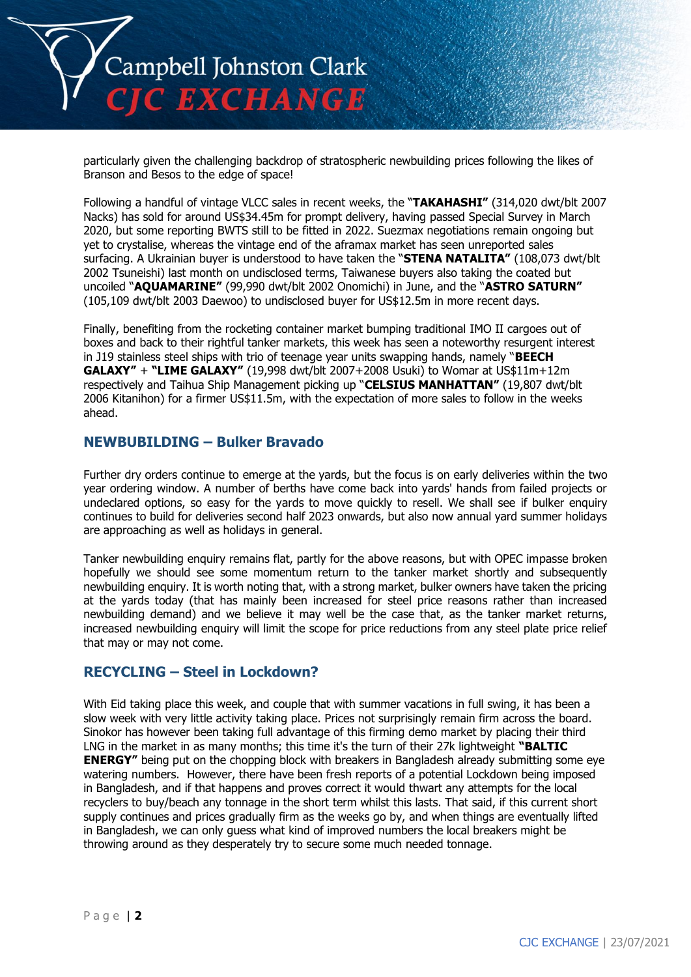

particularly given the challenging backdrop of stratospheric newbuilding prices following the likes of Branson and Besos to the edge of space!

Following a handful of vintage VLCC sales in recent weeks, the "**TAKAHASHI"** (314,020 dwt/blt 2007 Nacks) has sold for around US\$34.45m for prompt delivery, having passed Special Survey in March 2020, but some reporting BWTS still to be fitted in 2022. Suezmax negotiations remain ongoing but yet to crystalise, whereas the vintage end of the aframax market has seen unreported sales surfacing. A Ukrainian buyer is understood to have taken the "**STENA NATALITA"** (108,073 dwt/blt 2002 Tsuneishi) last month on undisclosed terms, Taiwanese buyers also taking the coated but uncoiled "**AQUAMARINE"** (99,990 dwt/blt 2002 Onomichi) in June, and the "**ASTRO SATURN"** (105,109 dwt/blt 2003 Daewoo) to undisclosed buyer for US\$12.5m in more recent days.

Finally, benefiting from the rocketing container market bumping traditional IMO II cargoes out of boxes and back to their rightful tanker markets, this week has seen a noteworthy resurgent interest in J19 stainless steel ships with trio of teenage year units swapping hands, namely "**BEECH GALAXY"** + **"LIME GALAXY"** (19,998 dwt/blt 2007+2008 Usuki) to Womar at US\$11m+12m respectively and Taihua Ship Management picking up "**CELSIUS MANHATTAN"** (19,807 dwt/blt 2006 Kitanihon) for a firmer US\$11.5m, with the expectation of more sales to follow in the weeks ahead.

#### **NEWBUBILDING – Bulker Bravado**

Further dry orders continue to emerge at the yards, but the focus is on early deliveries within the two year ordering window. A number of berths have come back into yards' hands from failed projects or undeclared options, so easy for the yards to move quickly to resell. We shall see if bulker enquiry continues to build for deliveries second half 2023 onwards, but also now annual yard summer holidays are approaching as well as holidays in general.

Tanker newbuilding enquiry remains flat, partly for the above reasons, but with OPEC impasse broken hopefully we should see some momentum return to the tanker market shortly and subsequently newbuilding enquiry. It is worth noting that, with a strong market, bulker owners have taken the pricing at the yards today (that has mainly been increased for steel price reasons rather than increased newbuilding demand) and we believe it may well be the case that, as the tanker market returns, increased newbuilding enquiry will limit the scope for price reductions from any steel plate price relief that may or may not come.

#### **RECYCLING – Steel in Lockdown?**

With Eid taking place this week, and couple that with summer vacations in full swing, it has been a slow week with very little activity taking place. Prices not surprisingly remain firm across the board. Sinokor has however been taking full advantage of this firming demo market by placing their third LNG in the market in as many months; this time it's the turn of their 27k lightweight **"BALTIC ENERGY"** being put on the chopping block with breakers in Bangladesh already submitting some eye watering numbers. However, there have been fresh reports of a potential Lockdown being imposed in Bangladesh, and if that happens and proves correct it would thwart any attempts for the local recyclers to buy/beach any tonnage in the short term whilst this lasts. That said, if this current short supply continues and prices gradually firm as the weeks go by, and when things are eventually lifted in Bangladesh, we can only guess what kind of improved numbers the local breakers might be throwing around as they desperately try to secure some much needed tonnage.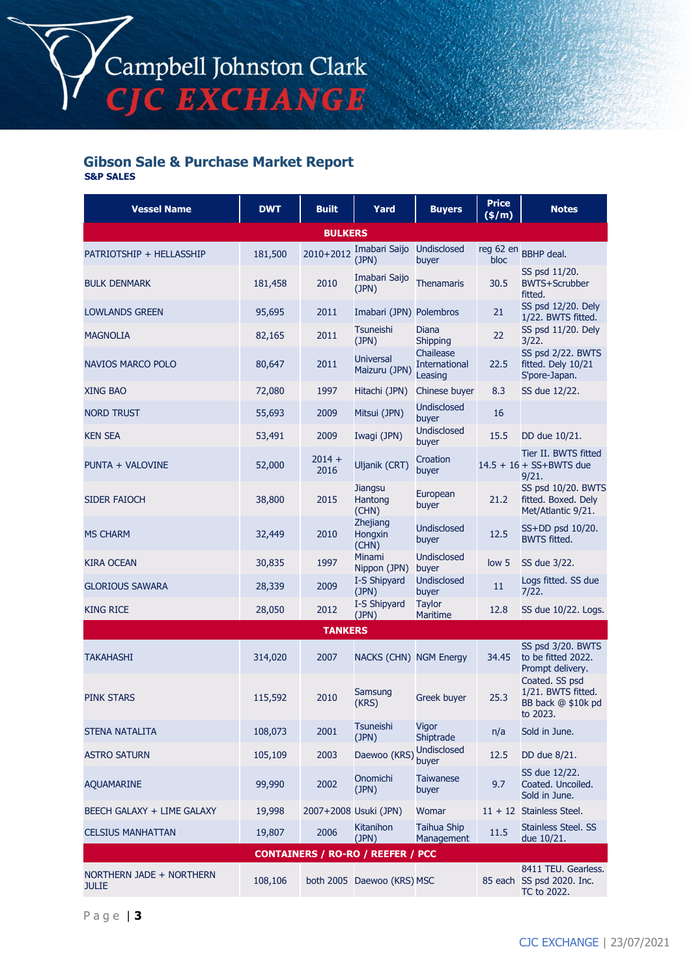#### **Gibson Sale & Purchase Market Report S&P SALES**

| <b>Vessel Name</b>                       | <b>DWT</b> | <b>Built</b>          | Yard                               | <b>Buyers</b>                                | <b>Price</b><br>(\$/m) | <b>Notes</b>                                                           |  |  |
|------------------------------------------|------------|-----------------------|------------------------------------|----------------------------------------------|------------------------|------------------------------------------------------------------------|--|--|
| <b>BULKERS</b>                           |            |                       |                                    |                                              |                        |                                                                        |  |  |
| PATRIOTSHIP + HELLASSHIP                 | 181,500    | 2010+2012             | Imabari Saijo<br>(JPN)             | <b>Undisclosed</b><br>buyer                  | reg 62 en<br>bloc      | <b>BBHP</b> deal.                                                      |  |  |
| <b>BULK DENMARK</b>                      | 181,458    | 2010                  | Imabari Saijo<br>(JPN)             | <b>Thenamaris</b>                            | 30.5                   | SS psd 11/20.<br><b>BWTS+Scrubber</b><br>fitted.                       |  |  |
| <b>LOWLANDS GREEN</b>                    | 95,695     | 2011                  | Imabari (JPN) Polembros            |                                              | 21                     | SS psd 12/20. Dely<br>1/22. BWTS fitted.                               |  |  |
| <b>MAGNOLIA</b>                          | 82,165     | 2011                  | <b>Tsuneishi</b><br>(JPN)          | Diana<br><b>Shipping</b>                     | 22                     | SS psd 11/20. Dely<br>3/22.                                            |  |  |
| <b>NAVIOS MARCO POLO</b>                 | 80,647     | 2011                  | <b>Universal</b><br>Maizuru (JPN)  | Chailease<br><b>International</b><br>Leasing | 22.5                   | SS psd 2/22. BWTS<br>fitted. Dely 10/21<br>S'pore-Japan.               |  |  |
| <b>XING BAO</b>                          | 72,080     | 1997                  | Hitachi (JPN)                      | Chinese buyer                                | 8.3                    | SS due 12/22.                                                          |  |  |
| <b>NORD TRUST</b>                        | 55,693     | 2009                  | Mitsui (JPN)                       | <b>Undisclosed</b><br>buyer                  | 16                     |                                                                        |  |  |
| <b>KEN SEA</b>                           | 53,491     | 2009                  | Iwagi (JPN)                        | <b>Undisclosed</b><br>buyer                  | 15.5                   | DD due 10/21.                                                          |  |  |
| PUNTA + VALOVINE                         | 52,000     | $2014 +$<br>2016      | Uljanik (CRT)                      | Croation<br>buyer                            |                        | Tier II. BWTS fitted<br>$14.5 + 16 + SS + BWTS$ due<br>9/21.           |  |  |
| <b>SIDER FAIOCH</b>                      | 38,800     | 2015                  | <b>Jiangsu</b><br>Hantong<br>(CHN) | European<br>buyer                            | 21.2                   | SS psd 10/20. BWTS<br>fitted. Boxed. Dely<br>Met/Atlantic 9/21.        |  |  |
| <b>MS CHARM</b>                          | 32,449     | 2010                  | Zhejiang<br>Hongxin<br>(CHN)       | <b>Undisclosed</b><br>buyer                  | 12.5                   | SS+DD psd 10/20.<br><b>BWTS fitted.</b>                                |  |  |
| <b>KIRA OCEAN</b>                        | 30,835     | 1997                  | Minami<br>Nippon (JPN)             | <b>Undisclosed</b><br>buyer                  | low 5                  | SS due 3/22.                                                           |  |  |
| <b>GLORIOUS SAWARA</b>                   | 28,339     | 2009                  | I-S Shipyard<br>(JPN)              | <b>Undisclosed</b><br>buyer                  | 11                     | Logs fitted. SS due<br>7/22.                                           |  |  |
| <b>KING RICE</b>                         | 28,050     | 2012                  | I-S Shipyard<br>(JPN)              | <b>Taylor</b><br>Maritime                    | 12.8                   | SS due 10/22. Logs.                                                    |  |  |
| <b>TANKERS</b>                           |            |                       |                                    |                                              |                        |                                                                        |  |  |
| <b>TAKAHASHI</b>                         | 314,020    | 2007                  | NACKS (CHN) NGM Energy             |                                              | 34.45                  | SS psd 3/20. BWTS<br>to be fitted 2022.<br>Prompt delivery.            |  |  |
| <b>PINK STARS</b>                        | 115,592    | 2010                  | Samsung<br>(KRS)                   | Greek buyer                                  | 25.3                   | Coated. SS psd<br>1/21. BWTS fitted.<br>BB back @ \$10k pd<br>to 2023. |  |  |
| STENA NATALITA                           | 108,073    | 2001                  | <b>Tsuneishi</b><br>(JPN)          | Vigor<br>Shiptrade                           | n/a                    | Sold in June.                                                          |  |  |
| <b>ASTRO SATURN</b>                      | 105,109    | 2003                  | Daewoo (KRS)                       | Undisclosed<br>buyer                         | 12.5                   | DD due 8/21.                                                           |  |  |
| <b>AQUAMARINE</b>                        | 99,990     | 2002                  | Onomichi<br>(JPN)                  | <b>Taiwanese</b><br>buyer                    | 9.7                    | SS due 12/22.<br>Coated. Uncoiled.<br>Sold in June.                    |  |  |
| BEECH GALAXY + LIME GALAXY               | 19,998     | 2007+2008 Usuki (JPN) |                                    | Womar                                        |                        | $11 + 12$ Stainless Steel.                                             |  |  |
| <b>CELSIUS MANHATTAN</b>                 | 19,807     | 2006                  | <b>Kitanihon</b><br>(JPN)          | <b>Taihua Ship</b><br>Management             | 11.5                   | <b>Stainless Steel. SS</b><br>due 10/21.                               |  |  |
| <b>CONTAINERS / RO-RO / REEFER / PCC</b> |            |                       |                                    |                                              |                        |                                                                        |  |  |
| NORTHERN JADE + NORTHERN<br><b>JULIE</b> | 108,106    |                       | both 2005 Daewoo (KRS) MSC         |                                              |                        | 8411 TEU. Gearless.<br>85 each SS psd 2020. Inc.<br>TC to 2022.        |  |  |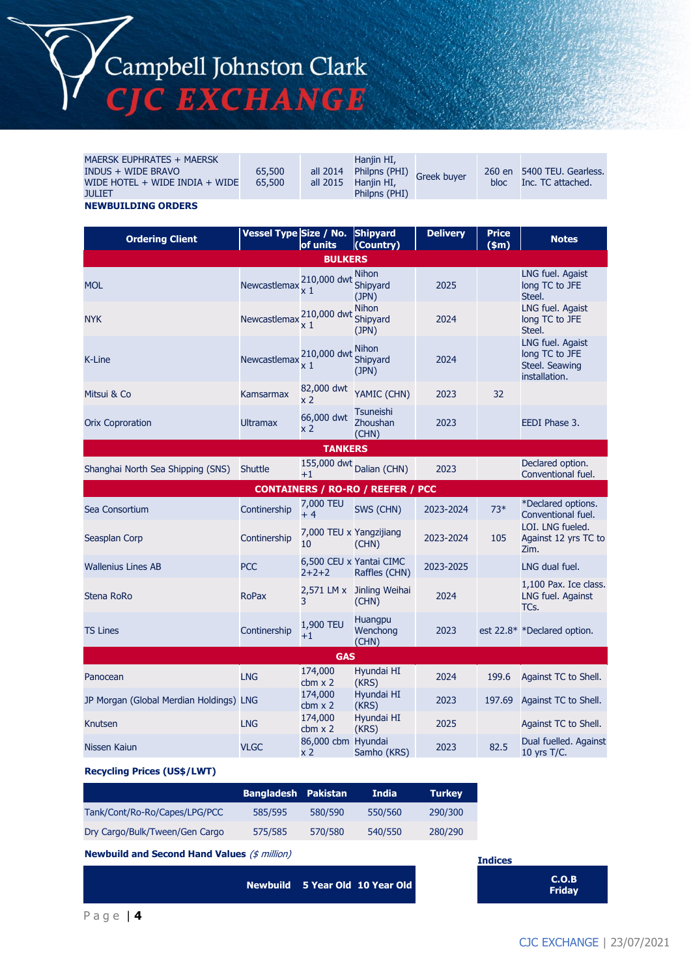# Campbell Johnston Clark<br>CJC EXCHANGE

| <b>MAERSK EUPHRATES + MAERSK</b><br><b>INDUS + WIDE BRAVO</b><br>WIDE HOTEL + WIDE INDIA + WIDE<br><b>JULIET</b> | 65,500<br>65,500       | all 2014<br>all 2015          | Hanjin HI,<br>Philpns (PHI)<br>Hanjin HI,<br>Philpns (PHI) | Greek buyer     | 260 en<br>bloc          | 5400 TEU. Gearless.<br>Inc. TC attached.                              |
|------------------------------------------------------------------------------------------------------------------|------------------------|-------------------------------|------------------------------------------------------------|-----------------|-------------------------|-----------------------------------------------------------------------|
| <b>NEWBUILDING ORDERS</b>                                                                                        |                        |                               |                                                            |                 |                         |                                                                       |
| <b>Ordering Client</b>                                                                                           | Vessel Type Size / No. | of units                      | <b>Shipyard</b><br>(Country)                               | <b>Delivery</b> | <b>Price</b><br>$(\$m)$ | <b>Notes</b>                                                          |
|                                                                                                                  |                        | <b>BULKERS</b>                |                                                            |                 |                         |                                                                       |
| <b>MOL</b>                                                                                                       | Newcastlemax           | 210,000 dwt<br>x 1            | <b>Nihon</b><br>Shipyard<br>(JPN)                          | 2025            |                         | LNG fuel. Agaist<br>long TC to JFE<br>Steel.                          |
| <b>NYK</b>                                                                                                       | Newcastlemax           | 210,000 dwt<br>x 1            | <b>Nihon</b><br>Shipyard<br>(JPN)                          | 2024            |                         | LNG fuel. Agaist<br>long TC to JFE<br>Steel.                          |
| K-Line                                                                                                           | Newcastlemax           | 210,000 dwt<br>x 1            | <b>Nihon</b><br>Shipyard<br>(JPN)                          | 2024            |                         | LNG fuel. Agaist<br>long TC to JFE<br>Steel. Seawing<br>installation. |
| Mitsui & Co                                                                                                      | Kamsarmax              | 82,000 dwt<br>x 2             | YAMIC (CHN)                                                | 2023            | 32                      |                                                                       |
| <b>Orix Coproration</b>                                                                                          | <b>Ultramax</b>        | 66,000 dwt<br>x <sub>2</sub>  | <b>Tsuneishi</b><br>Zhoushan<br>(CHN)                      | 2023            |                         | EEDI Phase 3.                                                         |
|                                                                                                                  |                        | <b>TANKERS</b>                |                                                            |                 |                         |                                                                       |
| Shanghai North Sea Shipping (SNS)                                                                                | <b>Shuttle</b>         | 155,000 dwt<br>$+1$           | Dalian (CHN)                                               | 2023            |                         | Declared option.<br>Conventional fuel.                                |
|                                                                                                                  |                        |                               | <b>CONTAINERS / RO-RO / REEFER / PCC</b>                   |                 |                         |                                                                       |
| Sea Consortium                                                                                                   | Continership           | 7,000 TEU<br>$+4$             | SWS (CHN)                                                  | 2023-2024       | $73*$                   | *Declared options.<br>Conventional fuel.                              |
| Seasplan Corp                                                                                                    | Continership           | 7,000 TEU x Yangzijiang<br>10 | (CHN)                                                      | 2023-2024       | 105                     | LOI. LNG fueled.<br>Against 12 yrs TC to<br>Zim.                      |
| <b>Wallenius Lines AB</b>                                                                                        | <b>PCC</b>             | $2+2+2$                       | 6,500 CEU x Yantai CIMC<br>Raffles (CHN)                   | 2023-2025       |                         | LNG dual fuel.                                                        |
| Stena RoRo                                                                                                       | <b>RoPax</b>           | 3                             | 2,571 LM x Jinling Weihai<br>(CHN)                         | 2024            |                         | 1,100 Pax. Ice class.<br>LNG fuel. Against<br>TCs.                    |
| <b>TS Lines</b>                                                                                                  | Continership           | 1,900 TEU<br>$+1$             | <b>Huangpu</b><br>Wenchong<br>(CHN)                        | 2023            |                         | est 22.8* *Declared option.                                           |
| <b>GAS</b>                                                                                                       |                        |                               |                                                            |                 |                         |                                                                       |
|                                                                                                                  |                        |                               |                                                            |                 |                         |                                                                       |
| Panocean                                                                                                         | <b>LNG</b>             | 174,000<br>$cbm \times 2$     | Hyundai HI<br>(KRS)                                        | 2024            | 199.6                   | Against TC to Shell.                                                  |
| JP Morgan (Global Merdian Holdings) LNG                                                                          |                        | 174,000<br>$cbm \times 2$     | Hyundai HI<br>(KRS)                                        | 2023            | 197.69                  | Against TC to Shell.                                                  |
| Knutsen                                                                                                          | <b>LNG</b>             | 174,000<br>$cbm \times 2$     | Hyundai HI<br>(KRS)                                        | 2025            |                         | Against TC to Shell.                                                  |

**Recycling Prices (US\$/LWT)**

|                                | <b>Bangladesh Pakistan</b> |         | <b>India</b> | <b>Turkey</b> |
|--------------------------------|----------------------------|---------|--------------|---------------|
| Tank/Cont/Ro-Ro/Capes/LPG/PCC  | 585/595                    | 580/590 | 550/560      | 290/300       |
| Dry Cargo/Bulk/Tween/Gen Cargo | 575/585                    | 570/580 | 540/550      | 280/290       |

**Newbuild and Second Hand Values** (\$ million)

**Newbuild 5 Year Old 10 Year Old C.O.B** 

**Indices Friday**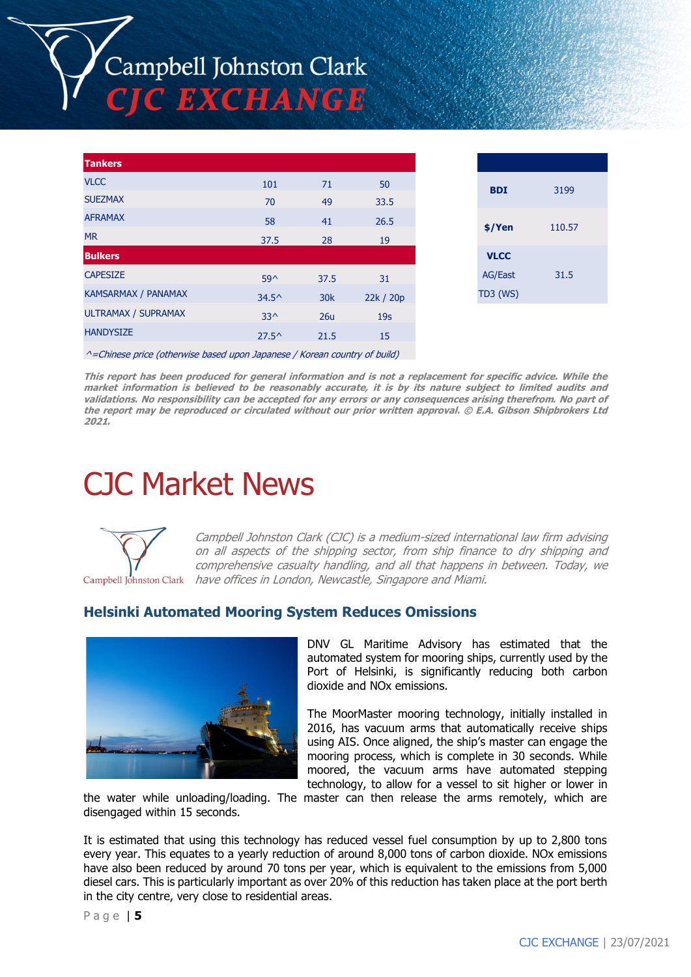# Campbell Johnston Clark **TE EXCHANGE**

| <b>Tankers</b>             |                |                 |                 |
|----------------------------|----------------|-----------------|-----------------|
| <b>VLCC</b>                | 101            | 71              | 50              |
| <b>SUEZMAX</b>             | 70             | 49              | 33.5            |
| <b>AFRAMAX</b>             | 58             | 41              | 26.5            |
| <b>MR</b>                  | 37.5           | 28              | 19              |
| <b>Bulkers</b>             |                |                 |                 |
| <b>CAPESIZE</b>            | $59^{\circ}$   | 37.5            | 31              |
| <b>KAMSARMAX / PANAMAX</b> | $34.5^{\circ}$ | 30 <sub>k</sub> | 22k / 20p       |
| ULTRAMAX / SUPRAMAX        | $33^{\wedge}$  | 26u             | 19 <sub>S</sub> |
| <b>HANDYSIZE</b>           | $27.5^{\circ}$ | 21.5            | 15              |
|                            |                |                 |                 |

| <b>BDI</b>     | 3199   |  |
|----------------|--------|--|
| \$/Yen         | 110.57 |  |
| <b>VLCC</b>    |        |  |
| <b>AG/East</b> | 31.5   |  |
| TD3 (WS)       |        |  |
|                |        |  |

^=Chinese price (otherwise based upon Japanese / Korean country of build)

**This report has been produced for general information and is not a replacement for specific advice. While the market information is believed to be reasonably accurate, it is by its nature subject to limited audits and validations. No responsibility can be accepted for any errors or any consequences arising therefrom. No part of the report may be reproduced or circulated without our prior written approval. © E.A. Gibson Shipbrokers Ltd 2021.**

## CJC Market News



Campbell Johnston Clark (CJC) is a medium-sized international law firm advising on all aspects of the shipping sector, from ship finance to dry shipping and comprehensive casualty handling, and all that happens in between. Today, we Campbell Johnston Clark have offices in London, Newcastle, Singapore and Miami.

#### **Helsinki Automated Mooring System Reduces Omissions**



DNV GL Maritime Advisory has estimated that the automated system for mooring ships, currently used by the Port of Helsinki, is significantly reducing both carbon dioxide and NOx emissions.

The MoorMaster mooring technology, initially installed in 2016, has vacuum arms that automatically receive ships using AIS. Once aligned, the ship's master can engage the mooring process, which is complete in 30 seconds. While moored, the vacuum arms have automated stepping technology, to allow for a vessel to sit higher or lower in

the water while unloading/loading. The master can then release the arms remotely, which are disengaged within 15 seconds.

It is estimated that using this technology has reduced vessel fuel consumption by up to 2,800 tons every year. This equates to a yearly reduction of around 8,000 tons of carbon dioxide. NOx emissions have also been reduced by around 70 tons per year, which is equivalent to the emissions from 5,000 diesel cars. This is particularly important as over 20% of this reduction has taken place at the port berth in the city centre, very close to residential areas.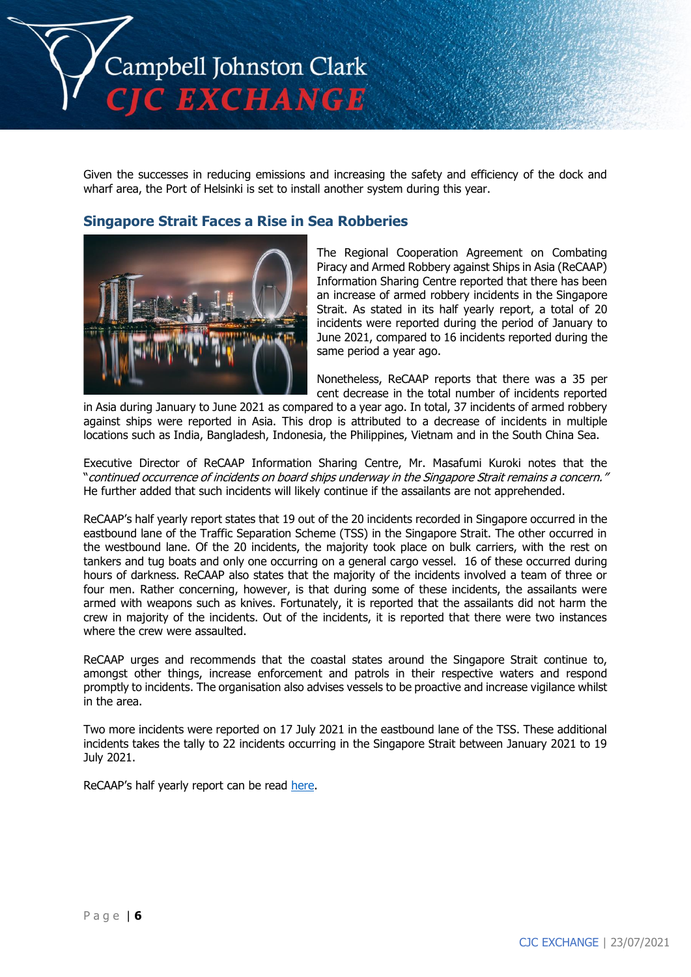

Given the successes in reducing emissions and increasing the safety and efficiency of the dock and wharf area, the Port of Helsinki is set to install another system during this year.

#### **Singapore Strait Faces a Rise in Sea Robberies**



The Regional Cooperation Agreement on Combating Piracy and Armed Robbery against Ships in Asia (ReCAAP) Information Sharing Centre reported that there has been an increase of armed robbery incidents in the Singapore Strait. As stated in its half yearly report, a total of 20 incidents were reported during the period of January to June 2021, compared to 16 incidents reported during the same period a year ago.

Nonetheless, ReCAAP reports that there was a 35 per cent decrease in the total number of incidents reported

in Asia during January to June 2021 as compared to a year ago. In total, 37 incidents of armed robbery against ships were reported in Asia. This drop is attributed to a decrease of incidents in multiple locations such as India, Bangladesh, Indonesia, the Philippines, Vietnam and in the South China Sea.

Executive Director of ReCAAP Information Sharing Centre, Mr. Masafumi Kuroki notes that the "continued occurrence of incidents on board ships underway in the Singapore Strait remains a concern." He further added that such incidents will likely continue if the assailants are not apprehended.

ReCAAP's half yearly report states that 19 out of the 20 incidents recorded in Singapore occurred in the eastbound lane of the Traffic Separation Scheme (TSS) in the Singapore Strait. The other occurred in the westbound lane. Of the 20 incidents, the majority took place on bulk carriers, with the rest on tankers and tug boats and only one occurring on a general cargo vessel. 16 of these occurred during hours of darkness. ReCAAP also states that the majority of the incidents involved a team of three or four men. Rather concerning, however, is that during some of these incidents, the assailants were armed with weapons such as knives. Fortunately, it is reported that the assailants did not harm the crew in majority of the incidents. Out of the incidents, it is reported that there were two instances where the crew were assaulted.

ReCAAP urges and recommends that the coastal states around the Singapore Strait continue to, amongst other things, increase enforcement and patrols in their respective waters and respond promptly to incidents. The organisation also advises vessels to be proactive and increase vigilance whilst in the area.

Two more incidents were reported on 17 July 2021 in the eastbound lane of the TSS. These additional incidents takes the tally to 22 incidents occurring in the Singapore Strait between January 2021 to 19 July 2021.

ReCAAP's half yearly report can be read [here.](https://www.recaap.org/resources/ck/files/reports/half-year/ReCAAP%20ISC%20Half%20Yearly%20Report%202021%20(1).pdf)